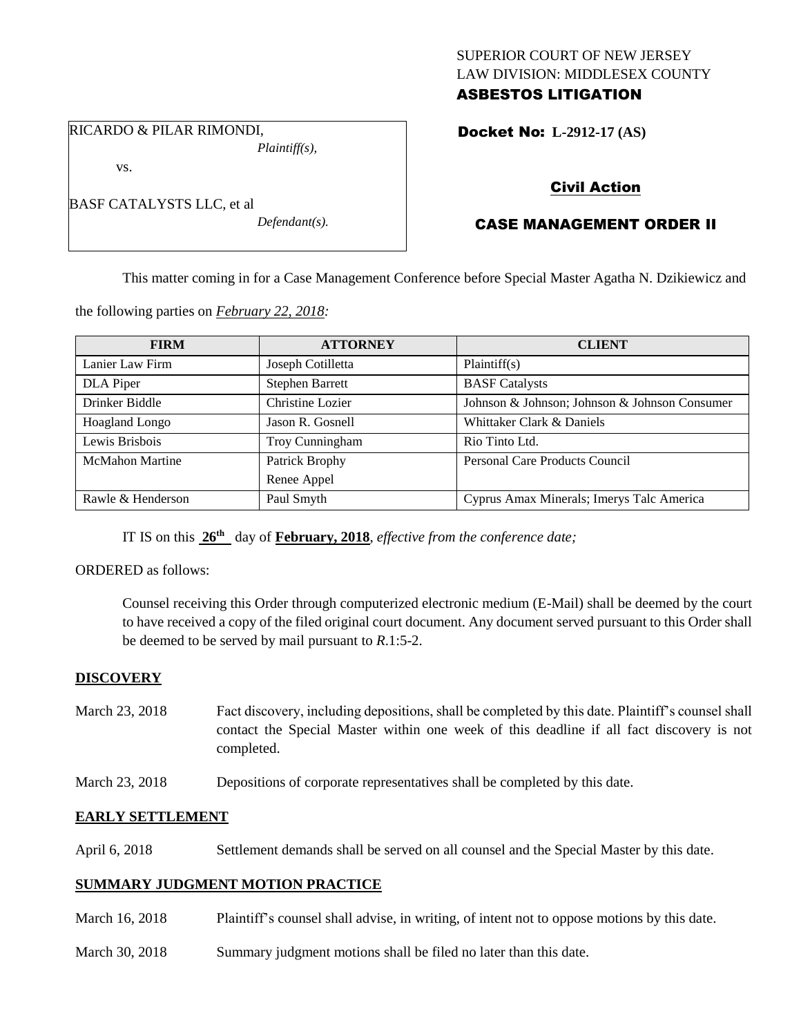## SUPERIOR COURT OF NEW JERSEY LAW DIVISION: MIDDLESEX COUNTY ASBESTOS LITIGATION

RICARDO & PILAR RIMONDI, *Plaintiff(s),*

vs.

| BASF CATALYSTS LLC, et al |  |  |
|---------------------------|--|--|
|                           |  |  |

*Defendant(s).*

## Docket No: **L-2912-17 (AS)**

# Civil Action

# CASE MANAGEMENT ORDER II

This matter coming in for a Case Management Conference before Special Master Agatha N. Dzikiewicz and

the following parties on *February 22, 2018:*

| <b>FIRM</b>            | <b>ATTORNEY</b>        | <b>CLIENT</b>                                 |
|------------------------|------------------------|-----------------------------------------------|
| Lanier Law Firm        | Joseph Cotilletta      | Plaintiff(s)                                  |
| DLA Piper              | <b>Stephen Barrett</b> | <b>BASF</b> Catalysts                         |
| Drinker Biddle         | Christine Lozier       | Johnson & Johnson; Johnson & Johnson Consumer |
| Hoagland Longo         | Jason R. Gosnell       | Whittaker Clark & Daniels                     |
| Lewis Brisbois         | Troy Cunningham        | Rio Tinto Ltd.                                |
| <b>McMahon Martine</b> | Patrick Brophy         | Personal Care Products Council                |
|                        | Renee Appel            |                                               |
| Rawle & Henderson      | Paul Smyth             | Cyprus Amax Minerals; Imerys Talc America     |

IT IS on this **26th** day of **February, 2018**, *effective from the conference date;*

## ORDERED as follows:

Counsel receiving this Order through computerized electronic medium (E-Mail) shall be deemed by the court to have received a copy of the filed original court document. Any document served pursuant to this Order shall be deemed to be served by mail pursuant to *R*.1:5-2.

## **DISCOVERY**

- March 23, 2018 Fact discovery, including depositions, shall be completed by this date. Plaintiff's counsel shall contact the Special Master within one week of this deadline if all fact discovery is not completed.
- March 23, 2018 Depositions of corporate representatives shall be completed by this date.

## **EARLY SETTLEMENT**

April 6, 2018 Settlement demands shall be served on all counsel and the Special Master by this date.

## **SUMMARY JUDGMENT MOTION PRACTICE**

- March 16, 2018 Plaintiff's counsel shall advise, in writing, of intent not to oppose motions by this date.
- March 30, 2018 Summary judgment motions shall be filed no later than this date.